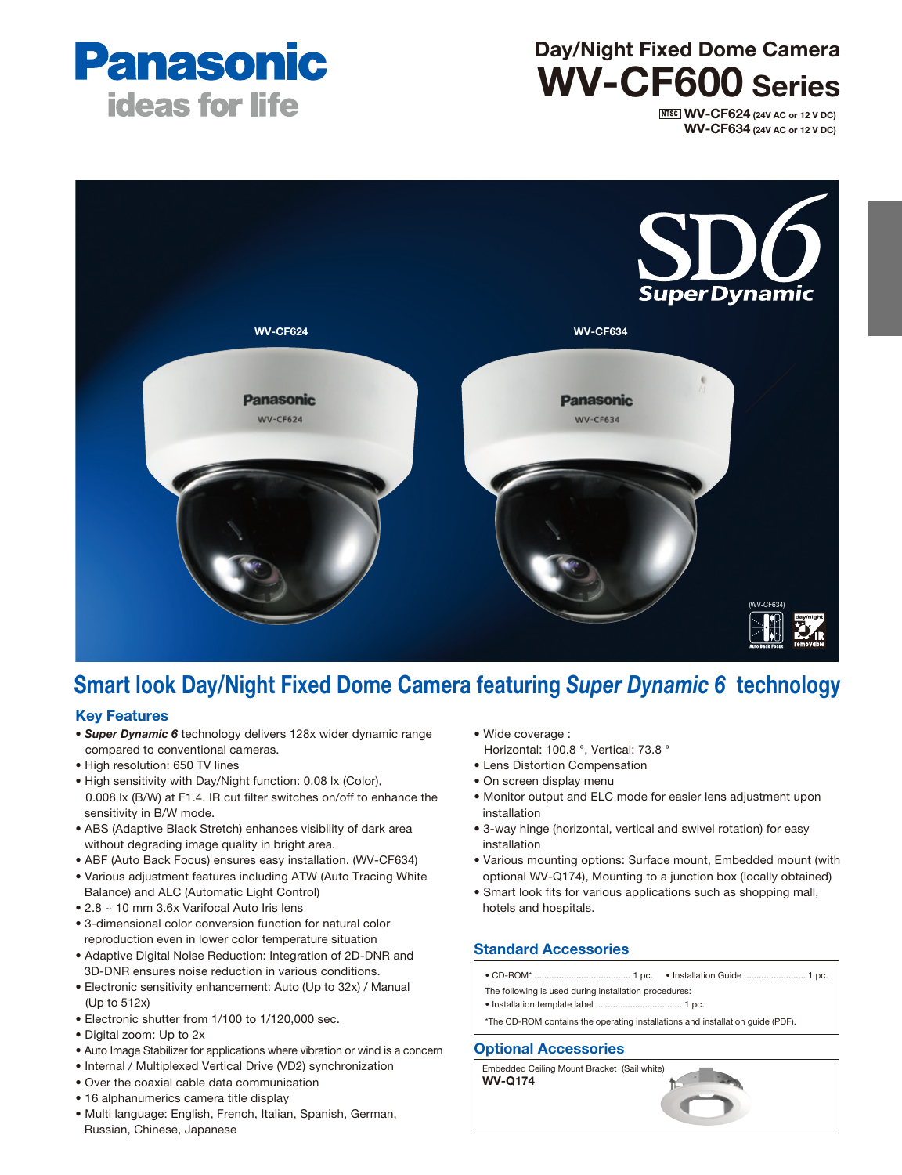

# Day/Night Fixed Dome Camera WV-CF600 Series

**NTSC WV-CF624 (24V AC or 12 V DC)** WV-CF634 (24V AC or 12 V DC) **(WV-CF634)** 



## Smart look Day/Night Fixed Dome Camera featuring *Super Dynamic 6* technology

#### Key Features

- *Super Dynamic 6* technology delivers 128x wider dynamic range compared to conventional cameras.
- High resolution: 650 TV lines
- High sensitivity with Day/Night function: 0.08 lx (Color), 0.008 lx (B/W) at F1.4. IR cut filter switches on/off to enhance the sensitivity in B/W mode.
- ABS (Adaptive Black Stretch) enhances visibility of dark area without degrading image quality in bright area.
- ABF (Auto Back Focus) ensures easy installation. (WV-CF634)
- Various adjustment features including ATW (Auto Tracing White Balance) and ALC (Automatic Light Control)
- 2.8 ~ 10 mm 3.6x Varifocal Auto Iris lens
- 3-dimensional color conversion function for natural color reproduction even in lower color temperature situation
- Adaptive Digital Noise Reduction: Integration of 2D-DNR and 3D-DNR ensures noise reduction in various conditions.
- Electronic sensitivity enhancement: Auto (Up to 32x) / Manual (Up to 512x)
- Electronic shutter from 1/100 to 1/120,000 sec.
- Digital zoom: Up to 2x
- Auto Image Stabilizer for applications where vibration or wind is a concern
- Internal / Multiplexed Vertical Drive (VD2) synchronization
- Over the coaxial cable data communication
- 16 alphanumerics camera title display
- Multi language: English, French, Italian, Spanish, German, Russian, Chinese, Japanese
- Wide coverage : Horizontal: 100.8 °, Vertical: 73.8 °
- Lens Distortion Compensation
- On screen display menu
- Monitor output and ELC mode for easier lens adjustment upon installation
- 3-way hinge (horizontal, vertical and swivel rotation) for easy installation
- Various mounting options: Surface mount, Embedded mount (with optional WV-Q174), Mounting to a junction box (locally obtained)
- Smart look fits for various applications such as shopping mall, hotels and hospitals.

#### Standard Accessories

- ..... 1 pc. Installation Guide .............................. 1 pc.  $\bullet$  CD-ROM\* ......
- The following is used during installation procedures:
- Installation template label ................................... 1 pc.
- \*The CD-ROM contains the operating installations and installation guide (PDF).

#### Optional Accessories

Embedded Ceiling Mount Bracket (Sail white) WV-Q174